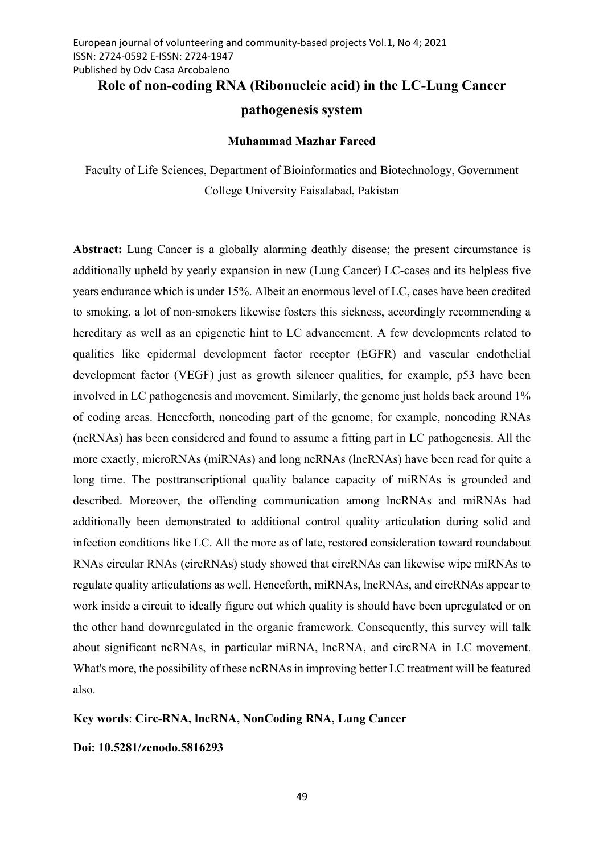# Role of non-coding RNA (Ribonucleic acid) in the LC-Lung Cancer

# pathogenesis system

#### Muhammad Mazhar Fareed

Faculty of Life Sciences, Department of Bioinformatics and Biotechnology, Government College University Faisalabad, Pakistan

Abstract: Lung Cancer is a globally alarming deathly disease; the present circumstance is additionally upheld by yearly expansion in new (Lung Cancer) LC-cases and its helpless five years endurance which is under 15%. Albeit an enormous level of LC, cases have been credited to smoking, a lot of non-smokers likewise fosters this sickness, accordingly recommending a hereditary as well as an epigenetic hint to LC advancement. A few developments related to qualities like epidermal development factor receptor (EGFR) and vascular endothelial development factor (VEGF) just as growth silencer qualities, for example, p53 have been involved in LC pathogenesis and movement. Similarly, the genome just holds back around 1% of coding areas. Henceforth, noncoding part of the genome, for example, noncoding RNAs (ncRNAs) has been considered and found to assume a fitting part in LC pathogenesis. All the more exactly, microRNAs (miRNAs) and long ncRNAs (lncRNAs) have been read for quite a long time. The posttranscriptional quality balance capacity of miRNAs is grounded and described. Moreover, the offending communication among lncRNAs and miRNAs had additionally been demonstrated to additional control quality articulation during solid and infection conditions like LC. All the more as of late, restored consideration toward roundabout RNAs circular RNAs (circRNAs) study showed that circRNAs can likewise wipe miRNAs to regulate quality articulations as well. Henceforth, miRNAs, lncRNAs, and circRNAs appear to work inside a circuit to ideally figure out which quality is should have been upregulated or on the other hand downregulated in the organic framework. Consequently, this survey will talk about significant ncRNAs, in particular miRNA, lncRNA, and circRNA in LC movement. What's more, the possibility of these ncRNAs in improving better LC treatment will be featured also.

### Key words: Circ-RNA, lncRNA, NonCoding RNA, Lung Cancer

#### Doi: 10.5281/zenodo.5816293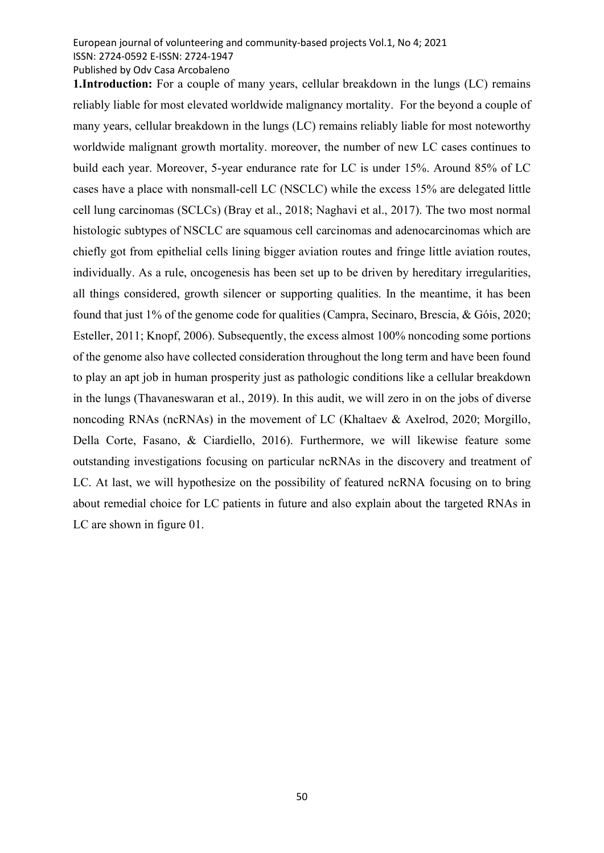Published by Odv Casa Arcobaleno

1.Introduction: For a couple of many years, cellular breakdown in the lungs (LC) remains reliably liable for most elevated worldwide malignancy mortality. For the beyond a couple of many years, cellular breakdown in the lungs (LC) remains reliably liable for most noteworthy worldwide malignant growth mortality. moreover, the number of new LC cases continues to build each year. Moreover, 5-year endurance rate for LC is under 15%. Around 85% of LC cases have a place with nonsmall-cell LC (NSCLC) while the excess 15% are delegated little cell lung carcinomas (SCLCs) (Bray et al., 2018; Naghavi et al., 2017). The two most normal histologic subtypes of NSCLC are squamous cell carcinomas and adenocarcinomas which are chiefly got from epithelial cells lining bigger aviation routes and fringe little aviation routes, individually. As a rule, oncogenesis has been set up to be driven by hereditary irregularities, all things considered, growth silencer or supporting qualities. In the meantime, it has been found that just 1% of the genome code for qualities (Campra, Secinaro, Brescia, & Góis, 2020; Esteller, 2011; Knopf, 2006). Subsequently, the excess almost 100% noncoding some portions of the genome also have collected consideration throughout the long term and have been found to play an apt job in human prosperity just as pathologic conditions like a cellular breakdown in the lungs (Thavaneswaran et al., 2019). In this audit, we will zero in on the jobs of diverse noncoding RNAs (ncRNAs) in the movement of LC (Khaltaev & Axelrod, 2020; Morgillo, Della Corte, Fasano, & Ciardiello, 2016). Furthermore, we will likewise feature some outstanding investigations focusing on particular ncRNAs in the discovery and treatment of LC. At last, we will hypothesize on the possibility of featured ncRNA focusing on to bring about remedial choice for LC patients in future and also explain about the targeted RNAs in LC are shown in figure 01.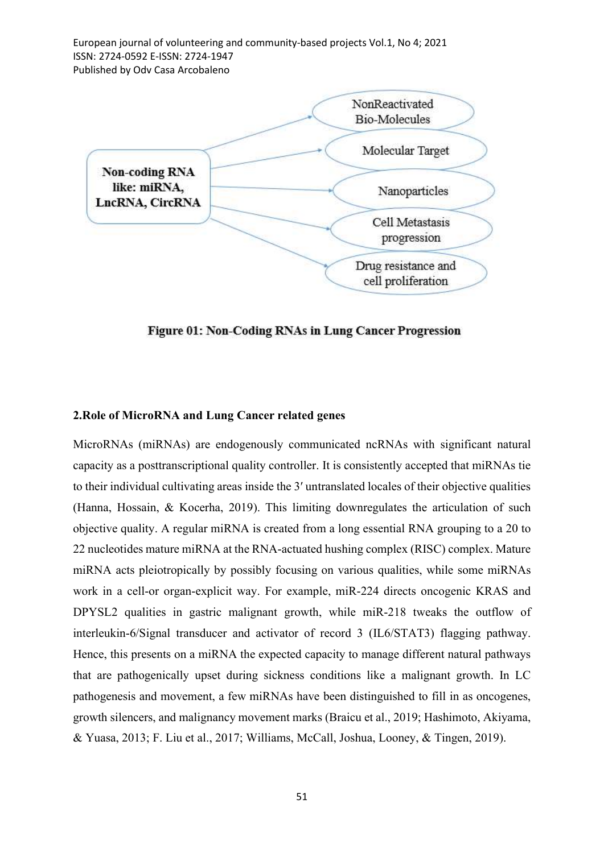European journal of volunteering and community-based projects Vol.1, No 4; 2021 ISSN: 2724-0592 E-ISSN: 2724-1947 Published by Odv Casa Arcobaleno



Figure 01: Non-Coding RNAs in Lung Cancer Progression

### 2.Role of MicroRNA and Lung Cancer related genes

MicroRNAs (miRNAs) are endogenously communicated ncRNAs with significant natural capacity as a posttranscriptional quality controller. It is consistently accepted that miRNAs tie to their individual cultivating areas inside the 3′ untranslated locales of their objective qualities (Hanna, Hossain, & Kocerha, 2019). This limiting downregulates the articulation of such objective quality. A regular miRNA is created from a long essential RNA grouping to a 20 to 22 nucleotides mature miRNA at the RNA-actuated hushing complex (RISC) complex. Mature miRNA acts pleiotropically by possibly focusing on various qualities, while some miRNAs work in a cell-or organ-explicit way. For example, miR-224 directs oncogenic KRAS and DPYSL2 qualities in gastric malignant growth, while miR-218 tweaks the outflow of interleukin-6/Signal transducer and activator of record 3 (IL6/STAT3) flagging pathway. Hence, this presents on a miRNA the expected capacity to manage different natural pathways that are pathogenically upset during sickness conditions like a malignant growth. In LC pathogenesis and movement, a few miRNAs have been distinguished to fill in as oncogenes, growth silencers, and malignancy movement marks (Braicu et al., 2019; Hashimoto, Akiyama, & Yuasa, 2013; F. Liu et al., 2017; Williams, McCall, Joshua, Looney, & Tingen, 2019).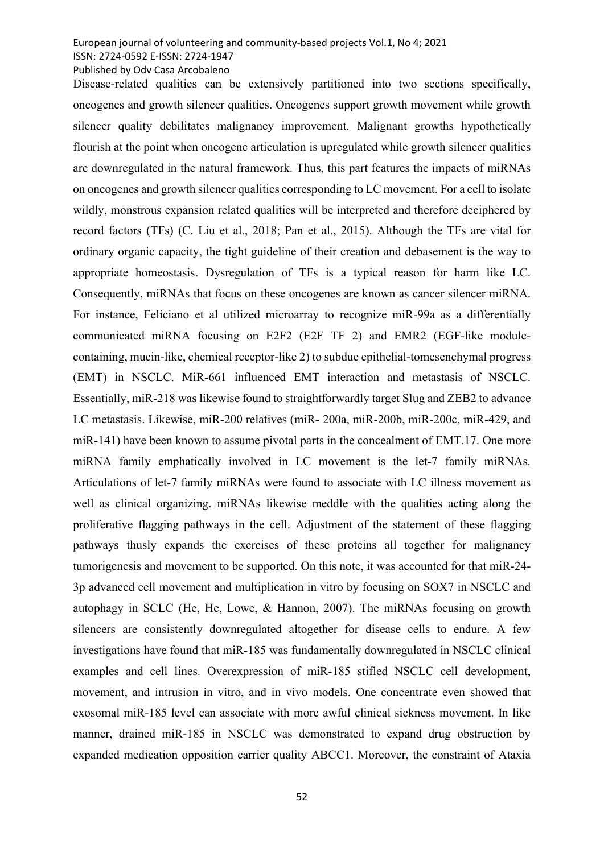Published by Odv Casa Arcobaleno

Disease-related qualities can be extensively partitioned into two sections specifically, oncogenes and growth silencer qualities. Oncogenes support growth movement while growth silencer quality debilitates malignancy improvement. Malignant growths hypothetically flourish at the point when oncogene articulation is upregulated while growth silencer qualities are downregulated in the natural framework. Thus, this part features the impacts of miRNAs on oncogenes and growth silencer qualities corresponding to LC movement. For a cell to isolate wildly, monstrous expansion related qualities will be interpreted and therefore deciphered by record factors (TFs) (C. Liu et al., 2018; Pan et al., 2015). Although the TFs are vital for ordinary organic capacity, the tight guideline of their creation and debasement is the way to appropriate homeostasis. Dysregulation of TFs is a typical reason for harm like LC. Consequently, miRNAs that focus on these oncogenes are known as cancer silencer miRNA. For instance, Feliciano et al utilized microarray to recognize miR-99a as a differentially communicated miRNA focusing on E2F2 (E2F TF 2) and EMR2 (EGF-like modulecontaining, mucin-like, chemical receptor-like 2) to subdue epithelial-tomesenchymal progress (EMT) in NSCLC. MiR-661 influenced EMT interaction and metastasis of NSCLC. Essentially, miR-218 was likewise found to straightforwardly target Slug and ZEB2 to advance LC metastasis. Likewise, miR-200 relatives (miR- 200a, miR-200b, miR-200c, miR-429, and miR-141) have been known to assume pivotal parts in the concealment of EMT.17. One more miRNA family emphatically involved in LC movement is the let-7 family miRNAs. Articulations of let-7 family miRNAs were found to associate with LC illness movement as well as clinical organizing. miRNAs likewise meddle with the qualities acting along the proliferative flagging pathways in the cell. Adjustment of the statement of these flagging pathways thusly expands the exercises of these proteins all together for malignancy tumorigenesis and movement to be supported. On this note, it was accounted for that miR-24- 3p advanced cell movement and multiplication in vitro by focusing on SOX7 in NSCLC and autophagy in SCLC (He, He, Lowe, & Hannon, 2007). The miRNAs focusing on growth silencers are consistently downregulated altogether for disease cells to endure. A few investigations have found that miR-185 was fundamentally downregulated in NSCLC clinical examples and cell lines. Overexpression of miR-185 stifled NSCLC cell development, movement, and intrusion in vitro, and in vivo models. One concentrate even showed that exosomal miR-185 level can associate with more awful clinical sickness movement. In like manner, drained miR-185 in NSCLC was demonstrated to expand drug obstruction by expanded medication opposition carrier quality ABCC1. Moreover, the constraint of Ataxia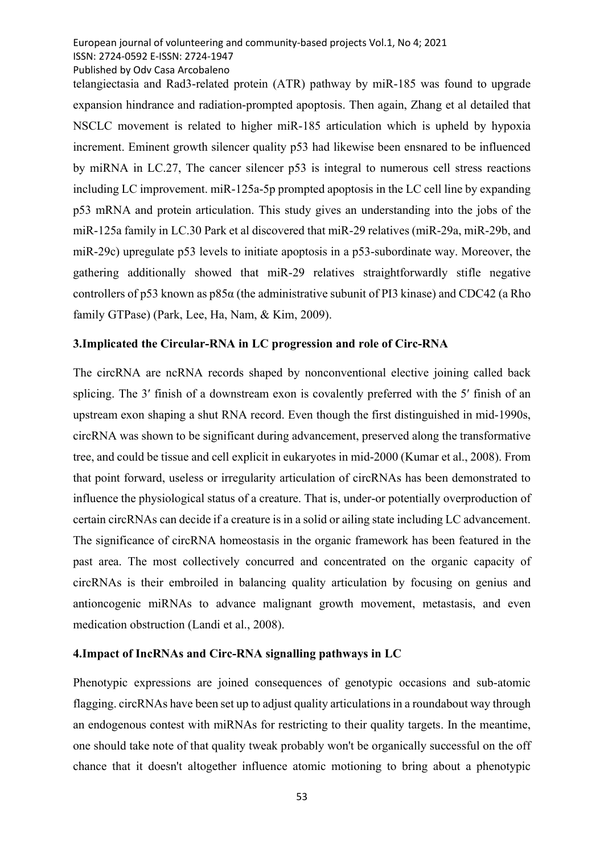Published by Odv Casa Arcobaleno

telangiectasia and Rad3-related protein (ATR) pathway by miR-185 was found to upgrade expansion hindrance and radiation-prompted apoptosis. Then again, Zhang et al detailed that NSCLC movement is related to higher miR-185 articulation which is upheld by hypoxia increment. Eminent growth silencer quality p53 had likewise been ensnared to be influenced by miRNA in LC.27, The cancer silencer p53 is integral to numerous cell stress reactions including LC improvement. miR-125a-5p prompted apoptosis in the LC cell line by expanding p53 mRNA and protein articulation. This study gives an understanding into the jobs of the miR-125a family in LC.30 Park et al discovered that miR-29 relatives (miR-29a, miR-29b, and miR-29c) upregulate p53 levels to initiate apoptosis in a p53-subordinate way. Moreover, the gathering additionally showed that miR-29 relatives straightforwardly stifle negative controllers of p53 known as p85α (the administrative subunit of PI3 kinase) and CDC42 (a Rho family GTPase) (Park, Lee, Ha, Nam, & Kim, 2009).

#### 3.Implicated the Circular-RNA in LC progression and role of Circ-RNA

The circRNA are ncRNA records shaped by nonconventional elective joining called back splicing. The 3′ finish of a downstream exon is covalently preferred with the 5′ finish of an upstream exon shaping a shut RNA record. Even though the first distinguished in mid-1990s, circRNA was shown to be significant during advancement, preserved along the transformative tree, and could be tissue and cell explicit in eukaryotes in mid-2000 (Kumar et al., 2008). From that point forward, useless or irregularity articulation of circRNAs has been demonstrated to influence the physiological status of a creature. That is, under-or potentially overproduction of certain circRNAs can decide if a creature is in a solid or ailing state including LC advancement. The significance of circRNA homeostasis in the organic framework has been featured in the past area. The most collectively concurred and concentrated on the organic capacity of circRNAs is their embroiled in balancing quality articulation by focusing on genius and antioncogenic miRNAs to advance malignant growth movement, metastasis, and even medication obstruction (Landi et al., 2008).

#### 4.Impact of IncRNAs and Circ-RNA signalling pathways in LC

Phenotypic expressions are joined consequences of genotypic occasions and sub-atomic flagging. circRNAs have been set up to adjust quality articulations in a roundabout way through an endogenous contest with miRNAs for restricting to their quality targets. In the meantime, one should take note of that quality tweak probably won't be organically successful on the off chance that it doesn't altogether influence atomic motioning to bring about a phenotypic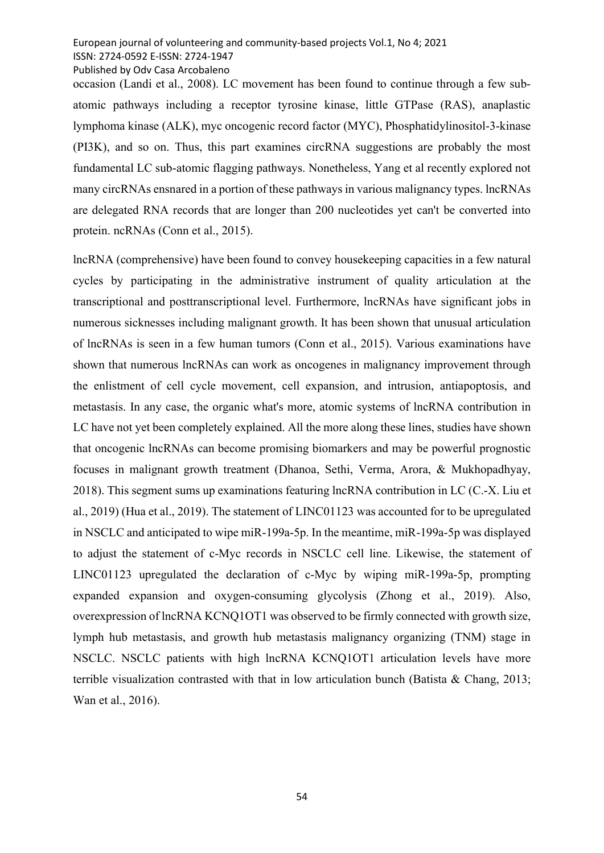Published by Odv Casa Arcobaleno

occasion (Landi et al., 2008). LC movement has been found to continue through a few subatomic pathways including a receptor tyrosine kinase, little GTPase (RAS), anaplastic lymphoma kinase (ALK), myc oncogenic record factor (MYC), Phosphatidylinositol-3-kinase (PI3K), and so on. Thus, this part examines circRNA suggestions are probably the most fundamental LC sub-atomic flagging pathways. Nonetheless, Yang et al recently explored not many circRNAs ensnared in a portion of these pathways in various malignancy types. lncRNAs are delegated RNA records that are longer than 200 nucleotides yet can't be converted into protein. ncRNAs (Conn et al., 2015).

lncRNA (comprehensive) have been found to convey housekeeping capacities in a few natural cycles by participating in the administrative instrument of quality articulation at the transcriptional and posttranscriptional level. Furthermore, lncRNAs have significant jobs in numerous sicknesses including malignant growth. It has been shown that unusual articulation of lncRNAs is seen in a few human tumors (Conn et al., 2015). Various examinations have shown that numerous lncRNAs can work as oncogenes in malignancy improvement through the enlistment of cell cycle movement, cell expansion, and intrusion, antiapoptosis, and metastasis. In any case, the organic what's more, atomic systems of lncRNA contribution in LC have not yet been completely explained. All the more along these lines, studies have shown that oncogenic lncRNAs can become promising biomarkers and may be powerful prognostic focuses in malignant growth treatment (Dhanoa, Sethi, Verma, Arora, & Mukhopadhyay, 2018). This segment sums up examinations featuring lncRNA contribution in LC (C.-X. Liu et al., 2019) (Hua et al., 2019). The statement of LINC01123 was accounted for to be upregulated in NSCLC and anticipated to wipe miR-199a-5p. In the meantime, miR-199a-5p was displayed to adjust the statement of c-Myc records in NSCLC cell line. Likewise, the statement of LINC01123 upregulated the declaration of c-Myc by wiping miR-199a-5p, prompting expanded expansion and oxygen-consuming glycolysis (Zhong et al., 2019). Also, overexpression of lncRNA KCNQ1OT1 was observed to be firmly connected with growth size, lymph hub metastasis, and growth hub metastasis malignancy organizing (TNM) stage in NSCLC. NSCLC patients with high lncRNA KCNQ1OT1 articulation levels have more terrible visualization contrasted with that in low articulation bunch (Batista & Chang, 2013; Wan et al., 2016).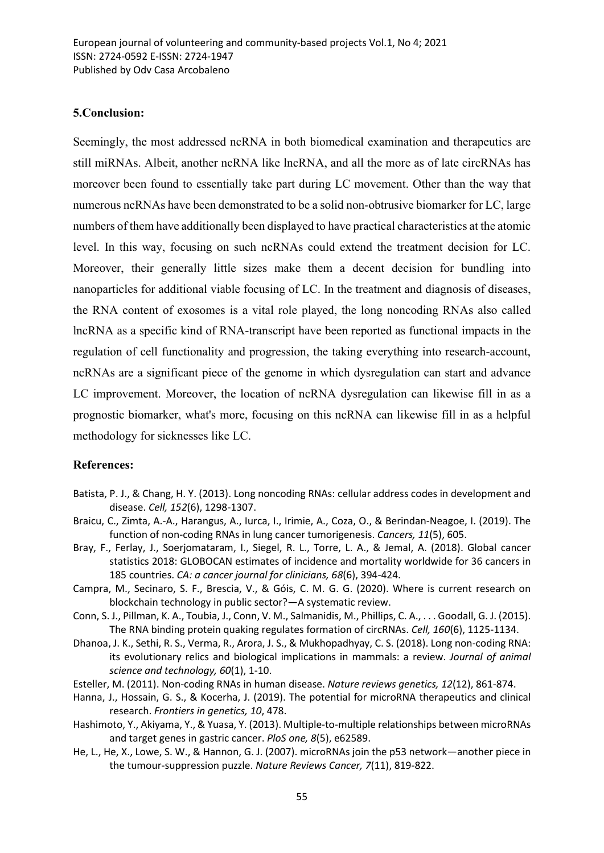## 5.Conclusion:

Seemingly, the most addressed ncRNA in both biomedical examination and therapeutics are still miRNAs. Albeit, another ncRNA like lncRNA, and all the more as of late circRNAs has moreover been found to essentially take part during LC movement. Other than the way that numerous ncRNAs have been demonstrated to be a solid non-obtrusive biomarker for LC, large numbers of them have additionally been displayed to have practical characteristics at the atomic level. In this way, focusing on such ncRNAs could extend the treatment decision for LC. Moreover, their generally little sizes make them a decent decision for bundling into nanoparticles for additional viable focusing of LC. In the treatment and diagnosis of diseases, the RNA content of exosomes is a vital role played, the long noncoding RNAs also called lncRNA as a specific kind of RNA-transcript have been reported as functional impacts in the regulation of cell functionality and progression, the taking everything into research-account, ncRNAs are a significant piece of the genome in which dysregulation can start and advance LC improvement. Moreover, the location of ncRNA dysregulation can likewise fill in as a prognostic biomarker, what's more, focusing on this ncRNA can likewise fill in as a helpful methodology for sicknesses like LC.

#### References:

- Batista, P. J., & Chang, H. Y. (2013). Long noncoding RNAs: cellular address codes in development and disease. Cell, 152(6), 1298-1307.
- Braicu, C., Zimta, A.-A., Harangus, A., Iurca, I., Irimie, A., Coza, O., & Berindan-Neagoe, I. (2019). The function of non-coding RNAs in lung cancer tumorigenesis. Cancers, 11(5), 605.
- Bray, F., Ferlay, J., Soerjomataram, I., Siegel, R. L., Torre, L. A., & Jemal, A. (2018). Global cancer statistics 2018: GLOBOCAN estimates of incidence and mortality worldwide for 36 cancers in 185 countries. CA: a cancer journal for clinicians, 68(6), 394-424.
- Campra, M., Secinaro, S. F., Brescia, V., & Góis, C. M. G. G. (2020). Where is current research on blockchain technology in public sector?—A systematic review.
- Conn, S. J., Pillman, K. A., Toubia, J., Conn, V. M., Salmanidis, M., Phillips, C. A., . . . Goodall, G. J. (2015). The RNA binding protein quaking regulates formation of circRNAs. Cell, 160(6), 1125-1134.
- Dhanoa, J. K., Sethi, R. S., Verma, R., Arora, J. S., & Mukhopadhyay, C. S. (2018). Long non-coding RNA: its evolutionary relics and biological implications in mammals: a review. Journal of animal science and technology, 60(1), 1-10.
- Esteller, M. (2011). Non-coding RNAs in human disease. Nature reviews genetics, 12(12), 861-874.
- Hanna, J., Hossain, G. S., & Kocerha, J. (2019). The potential for microRNA therapeutics and clinical research. Frontiers in genetics, 10, 478.
- Hashimoto, Y., Akiyama, Y., & Yuasa, Y. (2013). Multiple-to-multiple relationships between microRNAs and target genes in gastric cancer. PloS one, 8(5), e62589.
- He, L., He, X., Lowe, S. W., & Hannon, G. J. (2007). microRNAs join the p53 network—another piece in the tumour-suppression puzzle. Nature Reviews Cancer, 7(11), 819-822.